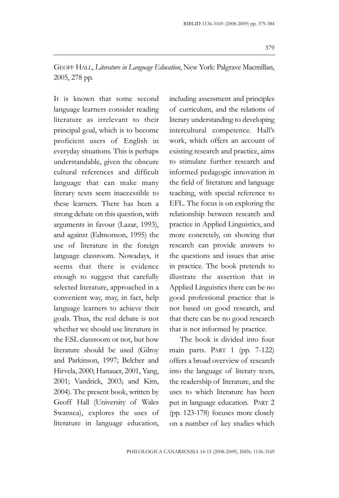GEOFF HALL, *Literature in Language Education*, New York: Palgrave Macmillan, 2005, 278 pp.

It is known that some second language learners consider reading literature as irrelevant to their principal goal, which is to become proficient users of English in everyday situations. This is perhaps understandable, given the obscure cultural references and difficult language that can make many literary texts seem inaccessible to these learners. There has been a strong debate on this question, with arguments in favour (Lazar, 1993), and against (Edmonson, 1995) the use of literature in the foreign language classroom. Nowadays, it seems that there is evidence enough to suggest that carefully selected literature, approached in a convenient way, may, in fact, help language learners to achieve their goals. Thus, the real debate is not whether we should use literature in the ESL classroom or not, but how literature should be used (Gilroy and Parkinson, 1997; Belcher and Hirvela, 2000; Hanauer, 2001, Yang, 2001; Vandrick, 2003; and Kim, 2004). The present book, written by Geoff Hall (University of Wales Swansea), explores the uses of literature in language education,

including assessment and principles of curriculum, and the relations of literary understanding to developing intercultural competence. Hall's work, which offers an account of existing research and practice, aims to stimulate further research and informed pedagogic innovation in the field of literature and language teaching, with special reference to EFL. The focus is on exploring the relationship between research and practice in Applied Linguistics, and more concretely, on showing that research can provide answers to the questions and issues that arise in practice. The book pretends to illustrate the assertion that in Applied Linguistics there can be no good professional practice that is not based on good research, and that there can be no good research that is not informed by practice.

The book is divided into four main parts. PART 1 (pp. 7-122) offers a broad overview of research into the language of literary texts, the readership of literature, and the uses to which literature has been put in language education. PART 2 (pp. 123-178) focuses more closely on a number of key studies which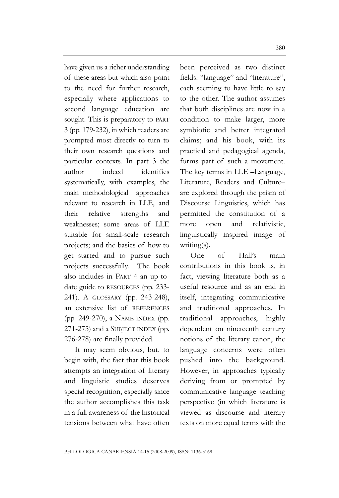have given us a richer understanding of these areas but which also point to the need for further research, especially where applications to second language education are sought. This is preparatory to PART 3 (pp. 179-232), in which readers are prompted most directly to turn to their own research questions and particular contexts. In part 3 the author indeed identifies systematically, with examples, the main methodological approaches relevant to research in LLE, and their relative strengths and weaknesses; some areas of LLE suitable for small-scale research projects; and the basics of how to get started and to pursue such projects successfully. The book also includes in PART 4 an up-todate guide to RESOURCES (pp. 233- 241). A GLOSSARY (pp. 243-248), an extensive list of REFERENCES (pp. 249-270), a NAME INDEX (pp. 271-275) and a SUBJECT INDEX (pp. 276-278) are finally provided.

It may seem obvious, but, to begin with, the fact that this book attempts an integration of literary and linguistic studies deserves special recognition, especially since the author accomplishes this task in a full awareness of the historical tensions between what have often been perceived as two distinct fields: "language" and "literature", each seeming to have little to say to the other. The author assumes that both disciplines are now in a condition to make larger, more symbiotic and better integrated claims; and his book, with its practical and pedagogical agenda, forms part of such a movement. The key terms in LLE –Language, Literature, Readers and Culture– are explored through the prism of Discourse Linguistics, which has permitted the constitution of a more open and relativistic, linguistically inspired image of writing(s).

One of Hall's main contributions in this book is, in fact, viewing literature both as a useful resource and as an end in itself, integrating communicative and traditional approaches. In traditional approaches, highly dependent on nineteenth century notions of the literary canon, the language concerns were often pushed into the background. However, in approaches typically deriving from or prompted by communicative language teaching perspective (in which literature is viewed as discourse and literary texts on more equal terms with the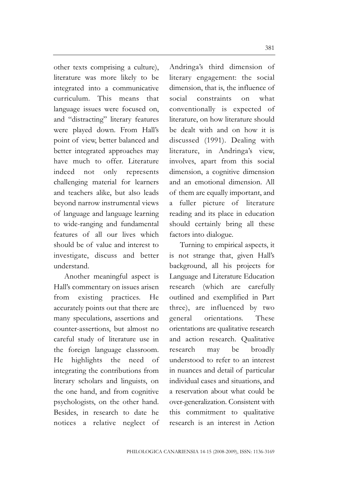other texts comprising a culture), literature was more likely to be integrated into a communicative curriculum. This means that language issues were focused on, and "distracting" literary features were played down. From Hall's point of view, better balanced and better integrated approaches may have much to offer Literature indeed not only represents challenging material for learners and teachers alike, but also leads beyond narrow instrumental views of language and language learning to wide-ranging and fundamental features of all our lives which should be of value and interest to investigate, discuss and better understand.

Another meaningful aspect is Hall's commentary on issues arisen from existing practices. He accurately points out that there are many speculations, assertions and counter-assertions, but almost no careful study of literature use in the foreign language classroom. He highlights the need of integrating the contributions from literary scholars and linguists, on the one hand, and from cognitive psychologists, on the other hand. Besides, in research to date he notices a relative neglect of Andringa's third dimension of literary engagement: the social dimension, that is, the influence of social constraints on what conventionally is expected of literature, on how literature should be dealt with and on how it is discussed (1991). Dealing with literature, in Andringa's view, involves, apart from this social dimension, a cognitive dimension and an emotional dimension. All of them are equally important, and a fuller picture of literature reading and its place in education should certainly bring all these factors into dialogue.

Turning to empirical aspects, it is not strange that, given Hall's background, all his projects for Language and Literature Education research (which are carefully outlined and exemplified in Part three), are influenced by two general orientations. These orientations are qualitative research and action research. Qualitative research may be broadly understood to refer to an interest in nuances and detail of particular individual cases and situations, and a reservation about what could be over-generalization. Consistent with this commitment to qualitative research is an interest in Action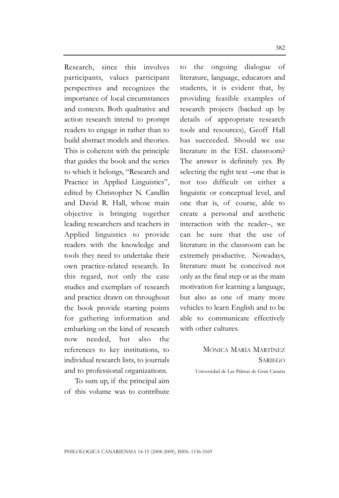Research, since this involves participants, values participant perspectives and recognizes the importance of local circumstances and contexts. Both qualitative and action research intend to prompt readers to engage in rather than to build abstract models and theories. This is coherent with the principle that guides the book and the series to which it belongs, "Research and Practice in Applied Linguistics", edited by Christopher N. Candlin and David R. Hall, whose main objective is bringing together leading researchers and teachers in Applied linguistics to provide readers with the knowledge and tools they need to undertake their own practice-related research. In this regard, not only the case studies and exemplars of research and practice drawn on throughout the book provide starting points for gathering information and embarking on the kind of research now needed, but also the references to key institutions, to individual research lists, to journals and to professional organizations.

To sum up, if the principal aim of this volume was to contribute to the ongoing dialogue of literature, language, educators and students, it is evident that, by providing feasible examples of research projects (backed up by details of appropriate research tools and resources), Geoff Hall has succeeded. Should we use literature in the ESL classroom? The answer is definitely yes. By selecting the right text –one that is not too difficult on either a linguistic or conceptual level, and one that is, of course, able to create a personal and aesthetic interaction with the reader–, we can be sure that the use of literature in the classroom can be extremely productive. Nowadays, literature must be conceived not only as the final step or as the main motivation for learning a language, but also as one of many more vehicles to learn English and to be able to communicate effectively with other cultures.

> MÓNICA MARÍA MARTÍNEZ **SARIEGO**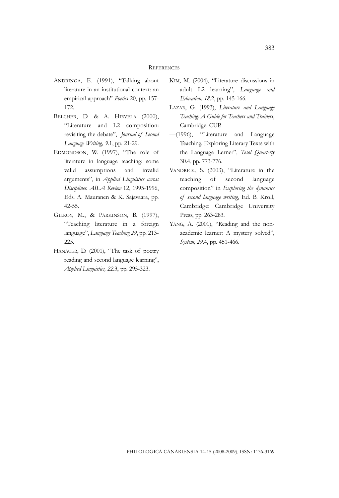## **REFERENCES**

- ANDRINGA, E. (1991), "Talking about literature in an institutional context: an empirical approach" *Poetics* 20, pp. 157- 172.
- BELCHER, D. & A. HIRVELA (2000), "Literature and L2 composition: revisiting the debate", *Journal of Second Language Writing, 9*.1, pp. 21-29.
- EDMONDSON, W. (1997), "The role of literature in language teaching: some valid assumptions and invalid arguments", in *Applied Linguistics across Disciplines. AILA Review* 12, 1995-1996, Eds. A. Mauranen & K. Sajavaara, pp. 42-55.
- GILROY, M., & PARKINSON, B. (1997), "Teaching literature in a foreign language", *Language Teaching 29*, pp. 213- 225.
- HANAUER, D. (2001), "The task of poetry reading and second language learning", *Applied Linguistics, 22*.3, pp. 295-323.
- KIM, M. (2004), "Literature discussions in adult L2 learning", *Language and Education, 18*.2, pp. 145-166.
- LAZAR, G. (1993), *Literature and Language Teaching: A Guide for Teachers and Trainers*, Cambridge: CUP.
- —(1996), "Literature and Language Teaching. Exploring Literary Texts with the Language Lerner", *Tesol Quarterly* 30.4, pp. 773-776.
- VANDRICK, S. (2003), "Literature in the teaching of second language composition" in *Exploring the dynamics of second language writing*, Ed. B. Kroll, Cambridge: Cambridge University Press, pp. 263-283.
- YANG, A. (2001), "Reading and the nonacademic learner: A mystery solved", *System, 29*.4, pp. 451-466.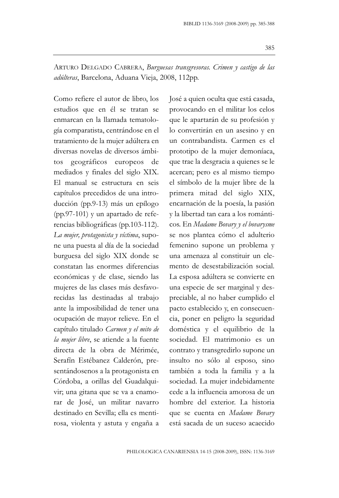ARTURO DELGADO CABRERA, *Burguesas transgresoras. Crimen y castigo de las adúlteras*, Barcelona, Aduana Vieja, 2008, 112pp.

Como refiere el autor de libro, los estudios que en él se tratan se enmarcan en la llamada tematología comparatista, centrándose en el tratamiento de la mujer adúltera en diversas novelas de diversos ámbitos geográficos europeos de mediados y finales del siglo XIX. El manual se estructura en seis capítulos precedidos de una introducción (pp.9-13) más un epílogo (pp.97-101) y un apartado de referencias bibliográficas (pp.103-112). *La mujer, protagonista y víctima*, supone una puesta al día de la sociedad burguesa del siglo XIX donde se constatan las enormes diferencias económicas y de clase, siendo las mujeres de las clases más desfavorecidas las destinadas al trabajo ante la imposibilidad de tener una ocupación de mayor relieve. En el capítulo titulado *Carmen y el mito de la mujer libre*, se atiende a la fuente directa de la obra de Mérimée, Serafín Estébanez Calderón, presentándosenos a la protagonista en Córdoba, a orillas del Guadalquivir; una gitana que se va a enamorar de José, un militar navarro destinado en Sevilla; ella es mentirosa, violenta y astuta y engaña a

José a quien oculta que está casada, provocando en el militar los celos que le apartarán de su profesión y lo convertirán en un asesino y en un contrabandista. Carmen es el prototipo de la mujer demoníaca, que trae la desgracia a quienes se le acercan; pero es al mismo tiempo el símbolo de la mujer libre de la primera mitad del siglo XIX, encarnación de la poesía, la pasión y la libertad tan cara a los románticos. En *Madame Bovary y el bovarysme* se nos plantea cómo el adulterio femenino supone un problema y una amenaza al constituir un elemento de desestabilización social. La esposa adúltera se convierte en una especie de ser marginal y despreciable, al no haber cumplido el pacto establecido y, en consecuencia, poner en peligro la seguridad doméstica y el equilibrio de la sociedad. El matrimonio es un contrato y transgredirlo supone un insulto no sólo al esposo, sino también a toda la familia y a la sociedad. La mujer indebidamente cede a la influencia amorosa de un hombre del exterior. La historia que se cuenta en *Madame Bovary* está sacada de un suceso acaecido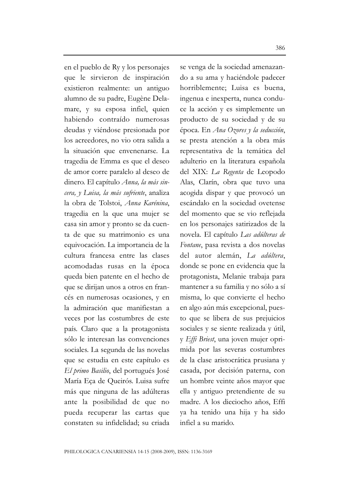en el pueblo de Ry y los personajes que le sirvieron de inspiración existieron realmente: un antiguo alumno de su padre, Eugène Delamare, y su esposa infiel, quien habiendo contraído numerosas deudas y viéndose presionada por los acreedores, no vio otra salida a la situación que envenenarse. La tragedia de Emma es que el deseo de amor corre paralelo al deseo de dinero. El capítulo *Anna, la más sincera, y Luisa, la más sufriente*, analiza la obra de Tolstoi, *Anna Karénina*, tragedia en la que una mujer se casa sin amor y pronto se da cuenta de que su matrimonio es una equivocación. La importancia de la cultura francesa entre las clases acomodadas rusas en la época queda bien patente en el hecho de que se dirijan unos a otros en francés en numerosas ocasiones, y en la admiración que manifiestan a veces por las costumbres de este país. Claro que a la protagonista sólo le interesan las convenciones sociales. La segunda de las novelas que se estudia en este capítulo es *El primo Basilio*, del portugués José María Eça de Queirós. Luisa sufre más que ninguna de las adúlteras ante la posibilidad de que no pueda recuperar las cartas que constaten su infidelidad; su criada se venga de la sociedad amenazando a su ama y haciéndole padecer horriblemente; Luisa es buena, ingenua e inexperta, nunca conduce la acción y es simplemente un producto de su sociedad y de su época. En *Ana Ozores y la seducción*, se presta atención a la obra más representativa de la temática del adulterio en la literatura española del XIX: *La Regenta* de Leopodo Alas, Clarín, obra que tuvo una acogida dispar y que provocó un escándalo en la sociedad ovetense del momento que se vio reflejada en los personajes satirizados de la novela. El capítulo *Las adúlteras de Fontane*, pasa revista a dos novelas del autor alemán, *La adúltera*, donde se pone en evidencia que la protagonista, Melanie trabaja para mantener a su familia y no sólo a sí misma, lo que convierte el hecho en algo aún más excepcional, puesto que se libera de sus prejuicios sociales y se siente realizada y útil, y *Effi Briest*, una joven mujer oprimida por las severas costumbres de la clase aristocrática prusiana y casada, por decisión paterna, con un hombre veinte años mayor que ella y antiguo pretendiente de su madre. A los dieciocho años, Effi ya ha tenido una hija y ha sido infiel a su marido.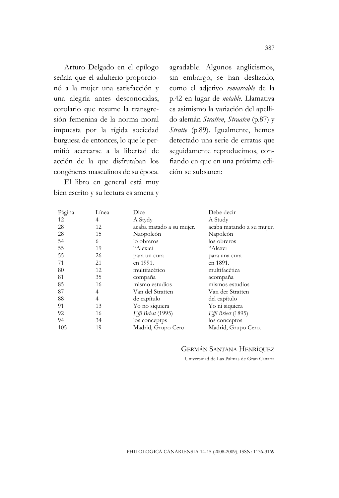Arturo Delgado en el epílogo señala que el adulterio proporcionó a la mujer una satisfacción y una alegría antes desconocidas, corolario que resume la transgresión femenina de la norma moral impuesta por la rígida sociedad burguesa de entonces, lo que le permitió acercarse a la libertad de acción de la que disfrutaban los congéneres masculinos de su época.

El libro en general está muy bien escrito y su lectura es amena y agradable. Algunos anglicismos, sin embargo, se han deslizado, como el adjetivo *remarcable* de la p.42 en lugar de *notable*. Llamativa es asimismo la variación del apellido alemán *Stratten*, *Straaten* (p.87) y *Stratte* (p.89). Igualmente, hemos detectado una serie de erratas que seguidamente reproducimos, confiando en que en una próxima edición se subsanen:

| Página   | Línea    | Dice                                | Debe decir                           |
|----------|----------|-------------------------------------|--------------------------------------|
| 12       | 4        | A Stydy                             | A Study                              |
| 28       | 12       | acaba matado a su mujer.            | acaba matando a su mujer.            |
| 28       | 15       | Naopoleón                           | Napoleón                             |
| 54       | 6        | lo obreros                          | los obreros                          |
| 55       | 19       | "Alexiei                            | "Alexei                              |
| 55       | 26       | para un cura                        | para una cura                        |
| 71       | 21       | en 1991.                            | en 1891.                             |
| 80       | 12       | multifacético                       | multifacética                        |
| 81       | 35       | compaña                             | acompaña                             |
| 85       | 16       | mismo estudios                      | mismos estudios                      |
| 87       | 4        | Van del Stratten                    | Van der Stratten                     |
| 88       | 4        | de capítulo                         | del capítulo                         |
| 91       | 13       | Yo no siquiera                      | Yo ni siquiera                       |
| 92<br>94 | 16<br>34 | <i>Effi Briest</i> (1995)           | <i>Effi Briest</i> (1895)            |
| 105      | 19       | los conceptps<br>Madrid, Grupo Cero | los conceptos<br>Madrid, Grupo Cero. |

## GERMÁN SANTANA HENRÍQUEZ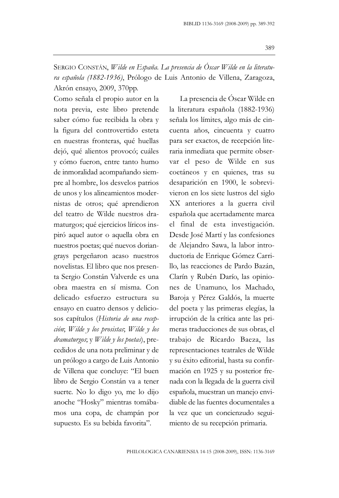SERGIO CONSTÁN, *Wilde en España. La presencia de Óscar Wilde en la literatura española (1882-1936)*, Prólogo de Luis Antonio de Villena, Zaragoza, Akrón ensayo, 2009, 370pp.

Como señala el propio autor en la nota previa, este libro pretende saber cómo fue recibida la obra y la figura del controvertido esteta en nuestras fronteras, qué huellas dejó, qué alientos provocó; cuáles y cómo fueron, entre tanto humo de inmoralidad acompañando siempre al hombre, los desvelos patrios de unos y los alineamientos modernistas de otros; qué aprendieron del teatro de Wilde nuestros dramaturgos; qué ejercicios líricos inspiró aquel autor o aquella obra en nuestros poetas; qué nuevos doriangrays pergeñaron acaso nuestros novelistas. El libro que nos presenta Sergio Constán Valverde es una obra maestra en sí misma. Con delicado esfuerzo estructura su ensayo en cuatro densos y deliciosos capítulos (*Historia de una recepción*; *Wilde y los prosistas*; *Wilde y los dramaturgos*; y *Wilde y los poetas*), precedidos de una nota preliminar y de un prólogo a cargo de Luis Antonio de Villena que concluye: "El buen libro de Sergio Constán va a tener suerte. No lo digo yo, me lo dijo anoche "Hosky" mientras tomábamos una copa, de champán por supuesto. Es su bebida favorita".

La presencia de Óscar Wilde en la literatura española (1882-1936) señala los límites, algo más de cincuenta años, cincuenta y cuatro para ser exactos, de recepción literaria inmediata que permite observar el peso de Wilde en sus coetáneos y en quienes, tras su desaparición en 1900, le sobrevivieron en los siete lustros del siglo XX anteriores a la guerra civil española que acertadamente marca el final de esta investigación. Desde José Martí y las confesiones de Alejandro Sawa, la labor introductoria de Enrique Gómez Carrillo, las reacciones de Pardo Bazán, Clarín y Rubén Darío, las opiniones de Unamuno, los Machado, Baroja y Pérez Galdós, la muerte del poeta y las primeras elegías, la irrupción de la crítica ante las primeras traducciones de sus obras, el trabajo de Ricardo Baeza, las representaciones teatrales de Wilde y su éxito editorial, hasta su confirmación en 1925 y su posterior frenada con la llegada de la guerra civil española, muestran un manejo envidiable de las fuentes documentales a la vez que un concienzudo seguimiento de su recepción primaria.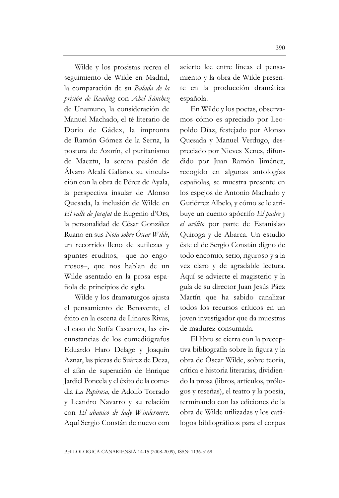Wilde y los prosistas recrea el seguimiento de Wilde en Madrid, la comparación de su *Balada de la prisión de Reading* con *Abel Sánchez* de Unamuno, la consideración de Manuel Machado, el té literario de Dorio de Gádex, la impronta de Ramón Gómez de la Serna, la postura de Azorín, el puritanismo de Maeztu, la serena pasión de Álvaro Alcalá Galiano, su vinculación con la obra de Pérez de Ayala, la perspectiva insular de Alonso Quesada, la inclusión de Wilde en *El valle de Josafat* de Eugenio d'Ors, la personalidad de César González Ruano en sus *Nota sobre Óscar Wilde*, un recorrido lleno de sutilezas y apuntes eruditos, –que no engorrosos–, que nos hablan de un Wilde asentado en la prosa española de principios de siglo.

Wilde y los dramaturgos ajusta el pensamiento de Benavente, el éxito en la escena de Linares Rivas, el caso de Sofía Casanova, las circunstancias de los comediógrafos Eduardo Haro Delage y Joaquín Aznar, las piezas de Suárez de Deza, el afán de superación de Enrique Jardiel Poncela y el éxito de la comedia *La Papirusa*, de Adolfo Torrado y Leandro Navarro y su relación con *El abanico de lady Windermere*. Aquí Sergio Constán de nuevo con acierto lee entre líneas el pensamiento y la obra de Wilde presente en la producción dramática española.

En Wilde y los poetas, observamos cómo es apreciado por Leopoldo Díaz, festejado por Alonso Quesada y Manuel Verdugo, despreciado por Nieves Xenes, difundido por Juan Ramón Jiménez, recogido en algunas antologías españolas, se muestra presente en los espejos de Antonio Machado y Gutiérrez Albelo, y cómo se le atribuye un cuento apócrifo *El padre y el acólito* por parte de Estanislao Quiroga y de Abarca. Un estudio éste el de Sergio Constán digno de todo encomio, serio, riguroso y a la vez claro y de agradable lectura. Aquí se advierte el magisterio y la guía de su director Juan Jesús Páez Martín que ha sabido canalizar todos los recursos críticos en un joven investigador que da muestras de madurez consumada.

El libro se cierra con la preceptiva bibliografía sobre la figura y la obra de Óscar Wilde, sobre teoría, crítica e historia literarias, dividiendo la prosa (libros, artículos, prólogos y reseñas), el teatro y la poesía, terminando con las ediciones de la obra de Wilde utilizadas y los catálogos bibliográficos para el corpus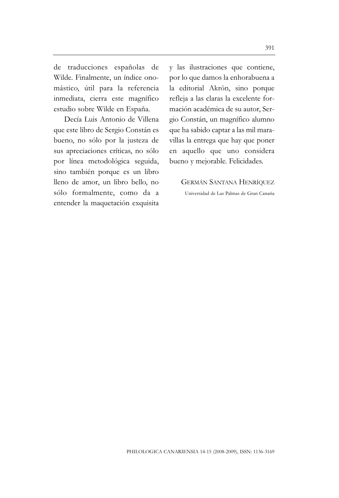de traducciones españolas de Wilde. Finalmente, un índice onomástico, útil para la referencia inmediata, cierra este magnífico estudio sobre Wilde en España.

Decía Luis Antonio de Villena que este libro de Sergio Constán es bueno, no sólo por la justeza de sus apreciaciones críticas, no sólo por línea metodológica seguida, sino también porque es un libro lleno de amor, un libro bello, no sólo formalmente, como da a entender la maquetación exquisita y las ilustraciones que contiene, por lo que damos la enhorabuena a la editorial Akrón, sino porque refleja a las claras la excelente formación académica de su autor, Sergio Constán, un magnífico alumno que ha sabido captar a las mil maravillas la entrega que hay que poner en aquello que uno considera bueno y mejorable. Felicidades.

GERMÁN SANTANA HENRÍQUEZ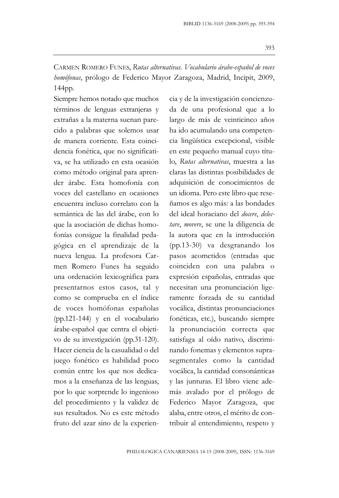CARMEN ROMERO FUNES, *Rutas alternativas. Vocabulario árabe-español de voces homófonas*, prólogo de Federico Mayor Zaragoza, Madrid, Incipit, 2009, 144pp.

Siempre hemos notado que muchos términos de lenguas extranjeras y extrañas a la materna suenan parecido a palabras que solemos usar de manera corriente. Esta coincidencia fonética, que no significativa, se ha utilizado en esta ocasión como método original para aprender árabe. Esta homofonía con voces del castellano en ocasiones encuentra incluso correlato con la semántica de las del árabe, con lo que la asociación de dichas homofonías consigue la finalidad pedagógica en el aprendizaje de la nueva lengua. La profesora Carmen Romero Funes ha seguido una ordenación lexicográfica para presentarnos estos casos, tal y como se comprueba en el índice de voces homófonas españolas (pp.121-144) y en el vocabulario árabe-español que centra el objetivo de su investigación (pp.31-120). Hacer ciencia de la casualidad o del juego fonético es habilidad poco común entre los que nos dedicamos a la enseñanza de las lenguas, por lo que sorprende lo ingenioso del procedimiento y la validez de sus resultados. No es este método fruto del azar sino de la experiencia y de la investigación concienzuda de una profesional que a lo largo de más de veinticinco años ha ido acumulando una competencia lingüística excepcional, visible en este pequeño manual cuyo título, *Rutas alternativas*, muestra a las claras las distintas posibilidades de adquisición de conocimientos de un idioma. Pero este libro que reseñamos es algo más: a las bondades del ideal horaciano del *docere*, *delectare*, *movere*, se une la diligencia de la autora que en la introducción (pp.13-30) va desgranando los pasos acometidos (entradas que coinciden con una palabra o expresión españolas, entradas que necesitan una pronunciación ligeramente forzada de su cantidad vocálica, distintas pronunciaciones fonéticas, etc.), buscando siempre la pronunciación correcta que satisfaga al oído nativo, discriminando fonemas y elementos suprasegmentales como la cantidad vocálica, la cantidad consonánticas y las junturas. El libro viene además avalado por el prólogo de Federico Mayor Zaragoza, que alaba, entre otros, el mérito de contribuir al entendimiento, respeto y